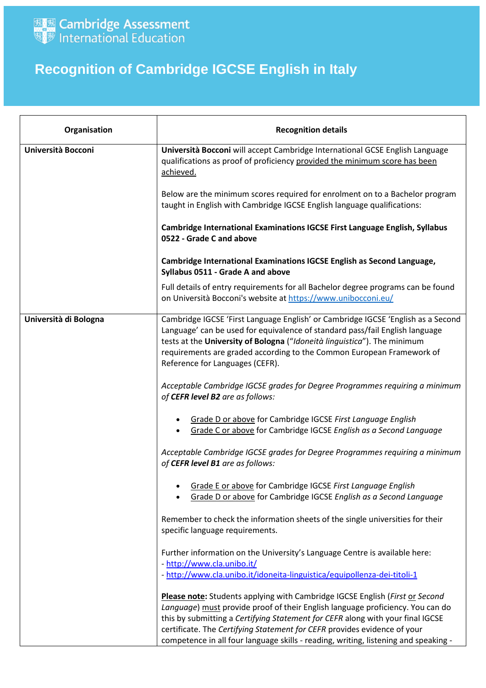

## **Recognition of Cambridge IGCSE English in Italy**

| Organisation          | <b>Recognition details</b>                                                                                                                                                                                                                                                                                                                                                                                          |
|-----------------------|---------------------------------------------------------------------------------------------------------------------------------------------------------------------------------------------------------------------------------------------------------------------------------------------------------------------------------------------------------------------------------------------------------------------|
| Università Bocconi    | Università Bocconi will accept Cambridge International GCSE English Language<br>qualifications as proof of proficiency provided the minimum score has been<br>achieved.                                                                                                                                                                                                                                             |
|                       | Below are the minimum scores required for enrolment on to a Bachelor program<br>taught in English with Cambridge IGCSE English language qualifications:                                                                                                                                                                                                                                                             |
|                       | <b>Cambridge International Examinations IGCSE First Language English, Syllabus</b><br>0522 - Grade C and above                                                                                                                                                                                                                                                                                                      |
|                       | Cambridge International Examinations IGCSE English as Second Language,<br>Syllabus 0511 - Grade A and above                                                                                                                                                                                                                                                                                                         |
|                       | Full details of entry requirements for all Bachelor degree programs can be found<br>on Università Bocconi's website at https://www.unibocconi.eu/                                                                                                                                                                                                                                                                   |
| Università di Bologna | Cambridge IGCSE 'First Language English' or Cambridge IGCSE 'English as a Second<br>Language' can be used for equivalence of standard pass/fail English language<br>tests at the University of Bologna ("Idoneità linguistica"). The minimum<br>requirements are graded according to the Common European Framework of<br>Reference for Languages (CEFR).                                                            |
|                       | Acceptable Cambridge IGCSE grades for Degree Programmes requiring a minimum<br>of CEFR level B2 are as follows:                                                                                                                                                                                                                                                                                                     |
|                       | Grade D or above for Cambridge IGCSE First Language English<br>Grade C or above for Cambridge IGCSE English as a Second Language                                                                                                                                                                                                                                                                                    |
|                       | Acceptable Cambridge IGCSE grades for Degree Programmes requiring a minimum<br>of CEFR level B1 are as follows:                                                                                                                                                                                                                                                                                                     |
|                       | Grade E or above for Cambridge IGCSE First Language English<br>Grade D or above for Cambridge IGCSE English as a Second Language                                                                                                                                                                                                                                                                                    |
|                       | Remember to check the information sheets of the single universities for their<br>specific language requirements.                                                                                                                                                                                                                                                                                                    |
|                       | Further information on the University's Language Centre is available here:<br>- http://www.cla.unibo.it/<br>- http://www.cla.unibo.it/idoneita-linguistica/equipollenza-dei-titoli-1                                                                                                                                                                                                                                |
|                       | Please note: Students applying with Cambridge IGCSE English (First or Second<br>Language) must provide proof of their English language proficiency. You can do<br>this by submitting a Certifying Statement for CEFR along with your final IGCSE<br>certificate. The Certifying Statement for CEFR provides evidence of your<br>competence in all four language skills - reading, writing, listening and speaking - |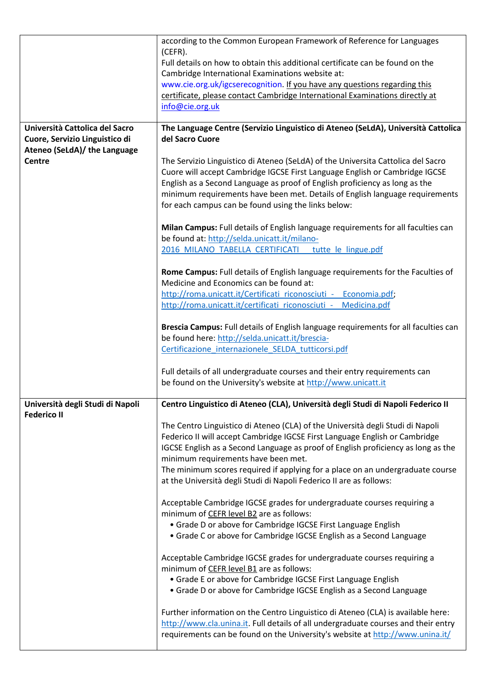|                                                                                                  | according to the Common European Framework of Reference for Languages<br>$(CEFR)$ .                                                                                                                                                                                                                                                                                                                                                                |
|--------------------------------------------------------------------------------------------------|----------------------------------------------------------------------------------------------------------------------------------------------------------------------------------------------------------------------------------------------------------------------------------------------------------------------------------------------------------------------------------------------------------------------------------------------------|
|                                                                                                  | Full details on how to obtain this additional certificate can be found on the                                                                                                                                                                                                                                                                                                                                                                      |
|                                                                                                  | Cambridge International Examinations website at:<br>www.cie.org.uk/igcserecognition. If you have any questions regarding this                                                                                                                                                                                                                                                                                                                      |
|                                                                                                  | certificate, please contact Cambridge International Examinations directly at                                                                                                                                                                                                                                                                                                                                                                       |
|                                                                                                  | info@cie.org.uk                                                                                                                                                                                                                                                                                                                                                                                                                                    |
| Università Cattolica del Sacro<br>Cuore, Servizio Linguistico di<br>Ateneo (SeLdA)/ the Language | The Language Centre (Servizio Linguistico di Ateneo (SeLdA), Università Cattolica<br>del Sacro Cuore                                                                                                                                                                                                                                                                                                                                               |
| <b>Centre</b>                                                                                    | The Servizio Linguistico di Ateneo (SeLdA) of the Universita Cattolica del Sacro<br>Cuore will accept Cambridge IGCSE First Language English or Cambridge IGCSE<br>English as a Second Language as proof of English proficiency as long as the<br>minimum requirements have been met. Details of English language requirements<br>for each campus can be found using the links below:                                                              |
|                                                                                                  | Milan Campus: Full details of English language requirements for all faculties can<br>be found at: http://selda.unicatt.it/milano-<br>2016 MILANO TABELLA CERTIFICATI tutte le lingue.pdf                                                                                                                                                                                                                                                           |
|                                                                                                  | Rome Campus: Full details of English language requirements for the Faculties of<br>Medicine and Economics can be found at:<br>http://roma.unicatt.it/Certificati riconosciuti - Economia.pdf;<br>http://roma.unicatt.it/certificati riconosciuti - Medicina.pdf                                                                                                                                                                                    |
|                                                                                                  | Brescia Campus: Full details of English language requirements for all faculties can<br>be found here: http://selda.unicatt.it/brescia-<br>Certificazione internazionele SELDA tutticorsi.pdf                                                                                                                                                                                                                                                       |
|                                                                                                  | Full details of all undergraduate courses and their entry requirements can<br>be found on the University's website at http://www.unicatt.it                                                                                                                                                                                                                                                                                                        |
| Università degli Studi di Napoli<br><b>Federico II</b>                                           | Centro Linguistico di Ateneo (CLA), Università degli Studi di Napoli Federico II                                                                                                                                                                                                                                                                                                                                                                   |
|                                                                                                  | The Centro Linguistico di Ateneo (CLA) of the Università degli Studi di Napoli<br>Federico II will accept Cambridge IGCSE First Language English or Cambridge<br>IGCSE English as a Second Language as proof of English proficiency as long as the<br>minimum requirements have been met.<br>The minimum scores required if applying for a place on an undergraduate course<br>at the Università degli Studi di Napoli Federico II are as follows: |
|                                                                                                  | Acceptable Cambridge IGCSE grades for undergraduate courses requiring a<br>minimum of CEFR level B2 are as follows:<br>• Grade D or above for Cambridge IGCSE First Language English<br>• Grade C or above for Cambridge IGCSE English as a Second Language                                                                                                                                                                                        |
|                                                                                                  | Acceptable Cambridge IGCSE grades for undergraduate courses requiring a<br>minimum of CEFR level B1 are as follows:<br>• Grade E or above for Cambridge IGCSE First Language English<br>• Grade D or above for Cambridge IGCSE English as a Second Language                                                                                                                                                                                        |
|                                                                                                  | Further information on the Centro Linguistico di Ateneo (CLA) is available here:<br>http://www.cla.unina.it. Full details of all undergraduate courses and their entry<br>requirements can be found on the University's website at http://www.unina.it/                                                                                                                                                                                            |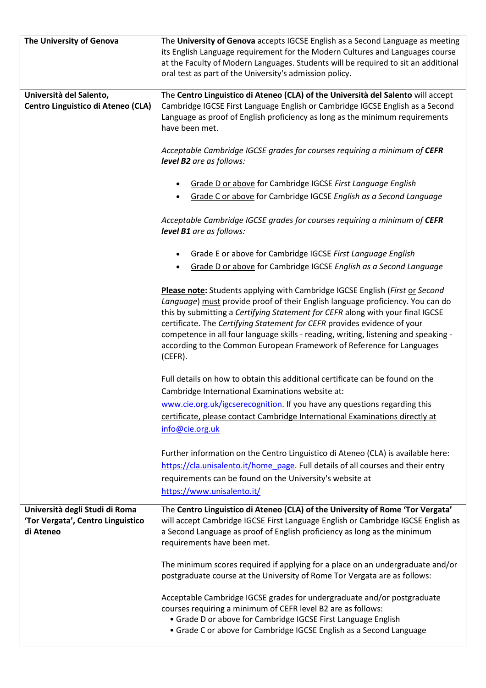| The University of Genova                                                         | The University of Genova accepts IGCSE English as a Second Language as meeting<br>its English Language requirement for the Modern Cultures and Languages course<br>at the Faculty of Modern Languages. Students will be required to sit an additional<br>oral test as part of the University's admission policy.                                                                                                                                                                                           |
|----------------------------------------------------------------------------------|------------------------------------------------------------------------------------------------------------------------------------------------------------------------------------------------------------------------------------------------------------------------------------------------------------------------------------------------------------------------------------------------------------------------------------------------------------------------------------------------------------|
| Università del Salento,<br>Centro Linguistico di Ateneo (CLA)                    | The Centro Linguistico di Ateneo (CLA) of the Università del Salento will accept<br>Cambridge IGCSE First Language English or Cambridge IGCSE English as a Second<br>Language as proof of English proficiency as long as the minimum requirements<br>have been met.                                                                                                                                                                                                                                        |
|                                                                                  | Acceptable Cambridge IGCSE grades for courses requiring a minimum of CEFR<br>level B2 are as follows:                                                                                                                                                                                                                                                                                                                                                                                                      |
|                                                                                  | Grade D or above for Cambridge IGCSE First Language English<br>$\bullet$<br>Grade C or above for Cambridge IGCSE English as a Second Language                                                                                                                                                                                                                                                                                                                                                              |
|                                                                                  | Acceptable Cambridge IGCSE grades for courses requiring a minimum of CEFR<br>level B1 are as follows:                                                                                                                                                                                                                                                                                                                                                                                                      |
|                                                                                  | Grade E or above for Cambridge IGCSE First Language English<br>Grade D or above for Cambridge IGCSE English as a Second Language                                                                                                                                                                                                                                                                                                                                                                           |
|                                                                                  | Please note: Students applying with Cambridge IGCSE English (First or Second<br>Language) must provide proof of their English language proficiency. You can do<br>this by submitting a Certifying Statement for CEFR along with your final IGCSE<br>certificate. The Certifying Statement for CEFR provides evidence of your<br>competence in all four language skills - reading, writing, listening and speaking -<br>according to the Common European Framework of Reference for Languages<br>$(CEFR)$ . |
|                                                                                  | Full details on how to obtain this additional certificate can be found on the<br>Cambridge International Examinations website at:                                                                                                                                                                                                                                                                                                                                                                          |
|                                                                                  | www.cie.org.uk/igcserecognition. If you have any questions regarding this<br>certificate, please contact Cambridge International Examinations directly at<br>info@cie.org.uk                                                                                                                                                                                                                                                                                                                               |
|                                                                                  | Further information on the Centro Linguistico di Ateneo (CLA) is available here:<br>https://cla.unisalento.it/home page. Full details of all courses and their entry<br>requirements can be found on the University's website at<br>https://www.unisalento.it/                                                                                                                                                                                                                                             |
| Università degli Studi di Roma<br>'Tor Vergata', Centro Linguistico<br>di Ateneo | The Centro Linguistico di Ateneo (CLA) of the University of Rome 'Tor Vergata'<br>will accept Cambridge IGCSE First Language English or Cambridge IGCSE English as<br>a Second Language as proof of English proficiency as long as the minimum<br>requirements have been met.                                                                                                                                                                                                                              |
|                                                                                  | The minimum scores required if applying for a place on an undergraduate and/or<br>postgraduate course at the University of Rome Tor Vergata are as follows:                                                                                                                                                                                                                                                                                                                                                |
|                                                                                  | Acceptable Cambridge IGCSE grades for undergraduate and/or postgraduate<br>courses requiring a minimum of CEFR level B2 are as follows:<br>• Grade D or above for Cambridge IGCSE First Language English<br>• Grade C or above for Cambridge IGCSE English as a Second Language                                                                                                                                                                                                                            |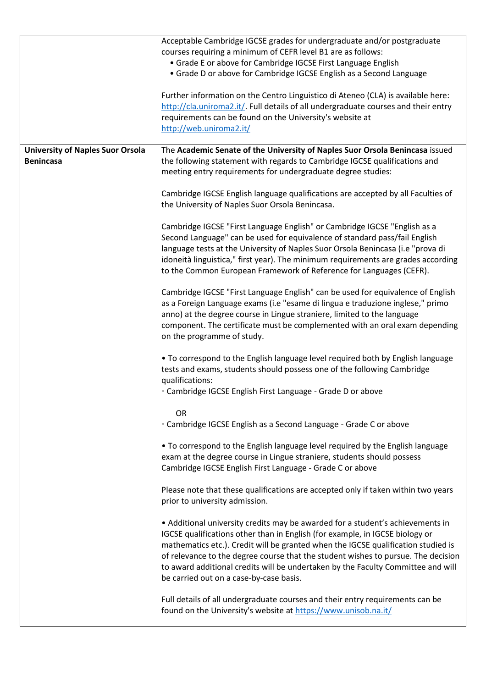|                                         | Acceptable Cambridge IGCSE grades for undergraduate and/or postgraduate            |
|-----------------------------------------|------------------------------------------------------------------------------------|
|                                         | courses requiring a minimum of CEFR level B1 are as follows:                       |
|                                         | • Grade E or above for Cambridge IGCSE First Language English                      |
|                                         | • Grade D or above for Cambridge IGCSE English as a Second Language                |
|                                         |                                                                                    |
|                                         | Further information on the Centro Linguistico di Ateneo (CLA) is available here:   |
|                                         | http://cla.uniroma2.it/. Full details of all undergraduate courses and their entry |
|                                         | requirements can be found on the University's website at                           |
|                                         | http://web.uniroma2.it/                                                            |
|                                         |                                                                                    |
| <b>University of Naples Suor Orsola</b> | The Academic Senate of the University of Naples Suor Orsola Benincasa issued       |
| <b>Benincasa</b>                        | the following statement with regards to Cambridge IGCSE qualifications and         |
|                                         | meeting entry requirements for undergraduate degree studies:                       |
|                                         |                                                                                    |
|                                         | Cambridge IGCSE English language qualifications are accepted by all Faculties of   |
|                                         | the University of Naples Suor Orsola Benincasa.                                    |
|                                         |                                                                                    |
|                                         | Cambridge IGCSE "First Language English" or Cambridge IGCSE "English as a          |
|                                         | Second Language" can be used for equivalence of standard pass/fail English         |
|                                         | language tests at the University of Naples Suor Orsola Benincasa (i.e "prova di    |
|                                         |                                                                                    |
|                                         | idoneità linguistica," first year). The minimum requirements are grades according  |
|                                         | to the Common European Framework of Reference for Languages (CEFR).                |
|                                         |                                                                                    |
|                                         | Cambridge IGCSE "First Language English" can be used for equivalence of English    |
|                                         | as a Foreign Language exams (i.e "esame di lingua e traduzione inglese," primo     |
|                                         | anno) at the degree course in Lingue straniere, limited to the language            |
|                                         | component. The certificate must be complemented with an oral exam depending        |
|                                         | on the programme of study.                                                         |
|                                         | . To correspond to the English language level required both by English language    |
|                                         |                                                                                    |
|                                         | tests and exams, students should possess one of the following Cambridge            |
|                                         | qualifications:                                                                    |
|                                         | <sup>o</sup> Cambridge IGCSE English First Language - Grade D or above             |
|                                         |                                                                                    |
|                                         | <b>OR</b>                                                                          |
|                                         | <sup>o</sup> Cambridge IGCSE English as a Second Language - Grade C or above       |
|                                         |                                                                                    |
|                                         | . To correspond to the English language level required by the English language     |
|                                         | exam at the degree course in Lingue straniere, students should possess             |
|                                         | Cambridge IGCSE English First Language - Grade C or above                          |
|                                         |                                                                                    |
|                                         | Please note that these qualifications are accepted only if taken within two years  |
|                                         | prior to university admission.                                                     |
|                                         |                                                                                    |
|                                         | • Additional university credits may be awarded for a student's achievements in     |
|                                         | IGCSE qualifications other than in English (for example, in IGCSE biology or       |
|                                         | mathematics etc.). Credit will be granted when the IGCSE qualification studied is  |
|                                         | of relevance to the degree course that the student wishes to pursue. The decision  |
|                                         | to award additional credits will be undertaken by the Faculty Committee and will   |
|                                         | be carried out on a case-by-case basis.                                            |
|                                         |                                                                                    |
|                                         | Full details of all undergraduate courses and their entry requirements can be      |
|                                         | found on the University's website at https://www.unisob.na.it/                     |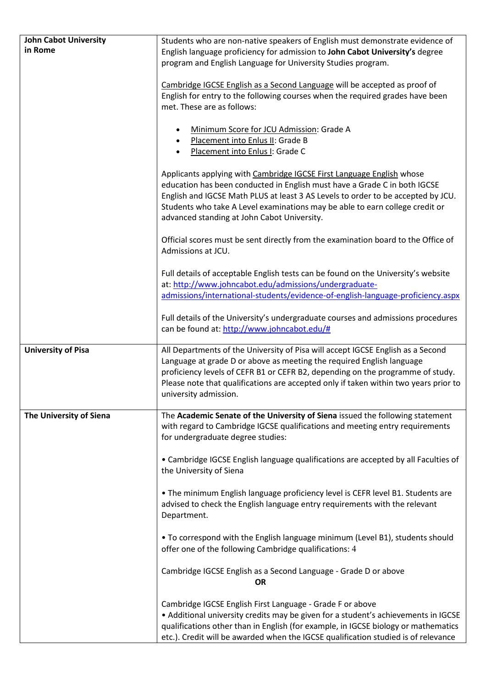| <b>John Cabot University</b><br>in Rome | Students who are non-native speakers of English must demonstrate evidence of<br>English language proficiency for admission to John Cabot University's degree                                                                                                                                                                                                          |
|-----------------------------------------|-----------------------------------------------------------------------------------------------------------------------------------------------------------------------------------------------------------------------------------------------------------------------------------------------------------------------------------------------------------------------|
|                                         | program and English Language for University Studies program.                                                                                                                                                                                                                                                                                                          |
|                                         | Cambridge IGCSE English as a Second Language will be accepted as proof of<br>English for entry to the following courses when the required grades have been<br>met. These are as follows:                                                                                                                                                                              |
|                                         | Minimum Score for JCU Admission: Grade A<br>Placement into Enlus II: Grade B<br>$\bullet$<br>Placement into Enlus I: Grade C                                                                                                                                                                                                                                          |
|                                         | Applicants applying with Cambridge IGCSE First Language English whose<br>education has been conducted in English must have a Grade C in both IGCSE<br>English and IGCSE Math PLUS at least 3 AS Levels to order to be accepted by JCU.<br>Students who take A Level examinations may be able to earn college credit or<br>advanced standing at John Cabot University. |
|                                         | Official scores must be sent directly from the examination board to the Office of<br>Admissions at JCU.                                                                                                                                                                                                                                                               |
|                                         | Full details of acceptable English tests can be found on the University's website<br>at: http://www.johncabot.edu/admissions/undergraduate-<br>admissions/international-students/evidence-of-english-language-proficiency.aspx                                                                                                                                        |
|                                         | Full details of the University's undergraduate courses and admissions procedures<br>can be found at: http://www.johncabot.edu/#                                                                                                                                                                                                                                       |
| <b>University of Pisa</b>               | All Departments of the University of Pisa will accept IGCSE English as a Second<br>Language at grade D or above as meeting the required English language<br>proficiency levels of CEFR B1 or CEFR B2, depending on the programme of study.<br>Please note that qualifications are accepted only if taken within two years prior to<br>university admission.           |
| The University of Siena                 | The Academic Senate of the University of Siena issued the following statement<br>with regard to Cambridge IGCSE qualifications and meeting entry requirements<br>for undergraduate degree studies:                                                                                                                                                                    |
|                                         | • Cambridge IGCSE English language qualifications are accepted by all Faculties of<br>the University of Siena                                                                                                                                                                                                                                                         |
|                                         | . The minimum English language proficiency level is CEFR level B1. Students are<br>advised to check the English language entry requirements with the relevant<br>Department.                                                                                                                                                                                          |
|                                         | . To correspond with the English language minimum (Level B1), students should<br>offer one of the following Cambridge qualifications: 4                                                                                                                                                                                                                               |
|                                         | Cambridge IGCSE English as a Second Language - Grade D or above<br>OR                                                                                                                                                                                                                                                                                                 |
|                                         | Cambridge IGCSE English First Language - Grade F or above<br>• Additional university credits may be given for a student's achievements in IGCSE<br>qualifications other than in English (for example, in IGCSE biology or mathematics<br>etc.). Credit will be awarded when the IGCSE qualification studied is of relevance                                           |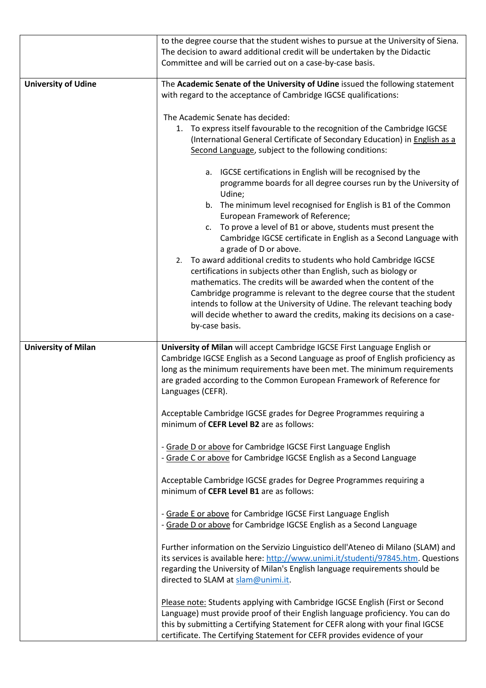|                            | to the degree course that the student wishes to pursue at the University of Siena.<br>The decision to award additional credit will be undertaken by the Didactic<br>Committee and will be carried out on a case-by-case basis.                                                                                                                                                                                                                                                                                                                                 |
|----------------------------|----------------------------------------------------------------------------------------------------------------------------------------------------------------------------------------------------------------------------------------------------------------------------------------------------------------------------------------------------------------------------------------------------------------------------------------------------------------------------------------------------------------------------------------------------------------|
|                            |                                                                                                                                                                                                                                                                                                                                                                                                                                                                                                                                                                |
| <b>University of Udine</b> | The Academic Senate of the University of Udine issued the following statement<br>with regard to the acceptance of Cambridge IGCSE qualifications:                                                                                                                                                                                                                                                                                                                                                                                                              |
|                            | The Academic Senate has decided:<br>1. To express itself favourable to the recognition of the Cambridge IGCSE<br>(International General Certificate of Secondary Education) in English as a<br>Second Language, subject to the following conditions:                                                                                                                                                                                                                                                                                                           |
|                            | a. IGCSE certifications in English will be recognised by the<br>programme boards for all degree courses run by the University of<br>Udine;<br>b. The minimum level recognised for English is B1 of the Common<br>European Framework of Reference;<br>To prove a level of B1 or above, students must present the<br>$c_{\cdot}$                                                                                                                                                                                                                                 |
|                            | Cambridge IGCSE certificate in English as a Second Language with<br>a grade of D or above.<br>2. To award additional credits to students who hold Cambridge IGCSE<br>certifications in subjects other than English, such as biology or<br>mathematics. The credits will be awarded when the content of the<br>Cambridge programme is relevant to the degree course that the student<br>intends to follow at the University of Udine. The relevant teaching body<br>will decide whether to award the credits, making its decisions on a case-<br>by-case basis. |
| <b>University of Milan</b> | University of Milan will accept Cambridge IGCSE First Language English or<br>Cambridge IGCSE English as a Second Language as proof of English proficiency as<br>long as the minimum requirements have been met. The minimum requirements<br>are graded according to the Common European Framework of Reference for<br>Languages (CEFR).                                                                                                                                                                                                                        |
|                            | Acceptable Cambridge IGCSE grades for Degree Programmes requiring a<br>minimum of CEFR Level B2 are as follows:                                                                                                                                                                                                                                                                                                                                                                                                                                                |
|                            | - Grade D or above for Cambridge IGCSE First Language English<br>- Grade C or above for Cambridge IGCSE English as a Second Language                                                                                                                                                                                                                                                                                                                                                                                                                           |
|                            | Acceptable Cambridge IGCSE grades for Degree Programmes requiring a<br>minimum of CEFR Level B1 are as follows:                                                                                                                                                                                                                                                                                                                                                                                                                                                |
|                            | - Grade E or above for Cambridge IGCSE First Language English<br>- Grade D or above for Cambridge IGCSE English as a Second Language                                                                                                                                                                                                                                                                                                                                                                                                                           |
|                            | Further information on the Servizio Linguistico dell'Ateneo di Milano (SLAM) and<br>its services is available here: http://www.unimi.it/studenti/97845.htm. Questions<br>regarding the University of Milan's English language requirements should be<br>directed to SLAM at slam@unimi.it.                                                                                                                                                                                                                                                                     |
|                            | Please note: Students applying with Cambridge IGCSE English (First or Second<br>Language) must provide proof of their English language proficiency. You can do<br>this by submitting a Certifying Statement for CEFR along with your final IGCSE<br>certificate. The Certifying Statement for CEFR provides evidence of your                                                                                                                                                                                                                                   |